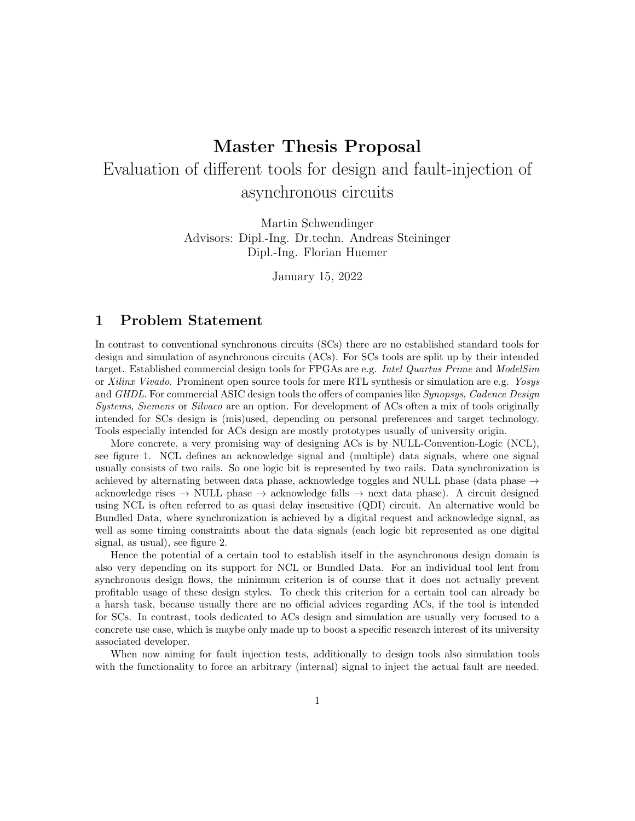## Master Thesis Proposal

# Evaluation of different tools for design and fault-injection of asynchronous circuits

Martin Schwendinger Advisors: Dipl.-Ing. Dr.techn. Andreas Steininger Dipl.-Ing. Florian Huemer

January 15, 2022

## 1 Problem Statement

In contrast to conventional synchronous circuits (SCs) there are no established standard tools for design and simulation of asynchronous circuits (ACs). For SCs tools are split up by their intended target. Established commercial design tools for FPGAs are e.g. Intel Quartus Prime and ModelSim or Xilinx Vivado. Prominent open source tools for mere RTL synthesis or simulation are e.g. Yosys and GHDL. For commercial ASIC design tools the offers of companies like Synopsys, Cadence Design Systems, Siemens or Silvaco are an option. For development of ACs often a mix of tools originally intended for SCs design is (mis)used, depending on personal preferences and target technology. Tools especially intended for ACs design are mostly prototypes usually of university origin.

More concrete, a very promising way of designing ACs is by NULL-Convention-Logic (NCL), see figure 1. NCL defines an acknowledge signal and (multiple) data signals, where one signal usually consists of two rails. So one logic bit is represented by two rails. Data synchronization is achieved by alternating between data phase, acknowledge toggles and NULL phase (data phase  $\rightarrow$ acknowledge rises  $\rightarrow$  NULL phase  $\rightarrow$  acknowledge falls  $\rightarrow$  next data phase). A circuit designed using NCL is often referred to as quasi delay insensitive (QDI) circuit. An alternative would be Bundled Data, where synchronization is achieved by a digital request and acknowledge signal, as well as some timing constraints about the data signals (each logic bit represented as one digital signal, as usual), see figure 2.

Hence the potential of a certain tool to establish itself in the asynchronous design domain is also very depending on its support for NCL or Bundled Data. For an individual tool lent from synchronous design flows, the minimum criterion is of course that it does not actually prevent profitable usage of these design styles. To check this criterion for a certain tool can already be a harsh task, because usually there are no official advices regarding ACs, if the tool is intended for SCs. In contrast, tools dedicated to ACs design and simulation are usually very focused to a concrete use case, which is maybe only made up to boost a specific research interest of its university associated developer.

When now aiming for fault injection tests, additionally to design tools also simulation tools with the functionality to force an arbitrary (internal) signal to inject the actual fault are needed.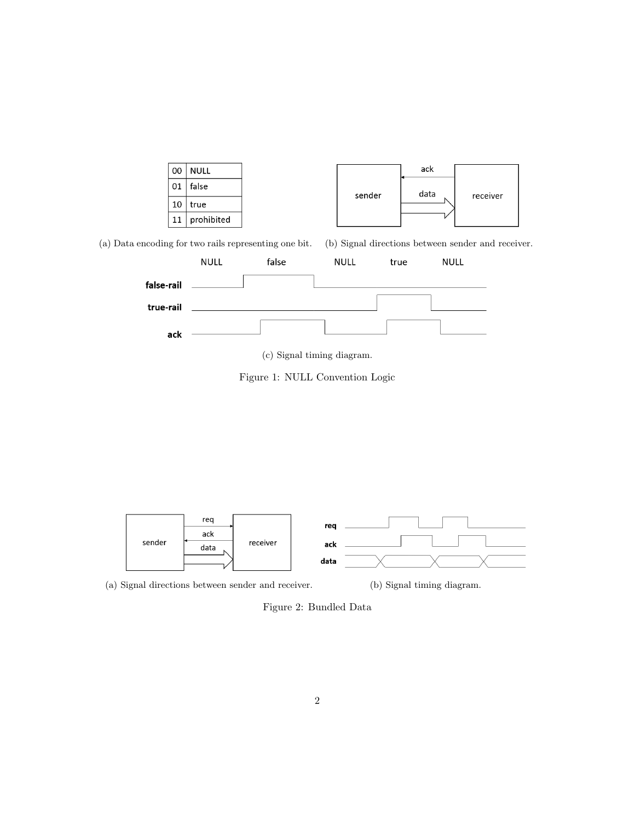

(a) Data encoding for two rails representing one bit. (b) Signal directions between sender and receiver.



(c) Signal timing diagram.

Figure 1: NULL Convention Logic



(a) Signal directions between sender and receiver. (b) Signal timing diagram.

Figure 2: Bundled Data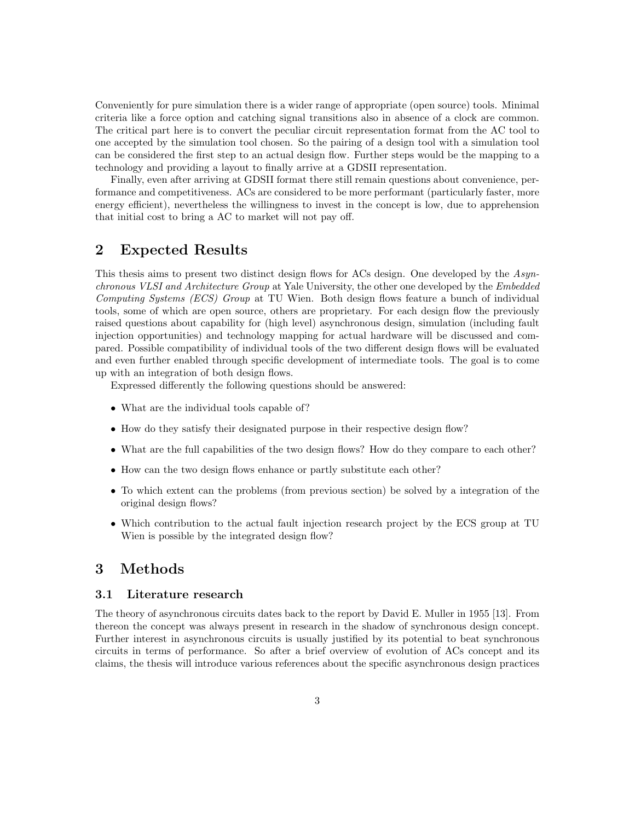Conveniently for pure simulation there is a wider range of appropriate (open source) tools. Minimal criteria like a force option and catching signal transitions also in absence of a clock are common. The critical part here is to convert the peculiar circuit representation format from the AC tool to one accepted by the simulation tool chosen. So the pairing of a design tool with a simulation tool can be considered the first step to an actual design flow. Further steps would be the mapping to a technology and providing a layout to finally arrive at a GDSII representation.

Finally, even after arriving at GDSII format there still remain questions about convenience, performance and competitiveness. ACs are considered to be more performant (particularly faster, more energy efficient), nevertheless the willingness to invest in the concept is low, due to apprehension that initial cost to bring a AC to market will not pay off.

## 2 Expected Results

This thesis aims to present two distinct design flows for ACs design. One developed by the Asynchronous VLSI and Architecture Group at Yale University, the other one developed by the Embedded Computing Systems (ECS) Group at TU Wien. Both design flows feature a bunch of individual tools, some of which are open source, others are proprietary. For each design flow the previously raised questions about capability for (high level) asynchronous design, simulation (including fault injection opportunities) and technology mapping for actual hardware will be discussed and compared. Possible compatibility of individual tools of the two different design flows will be evaluated and even further enabled through specific development of intermediate tools. The goal is to come up with an integration of both design flows.

Expressed differently the following questions should be answered:

- What are the individual tools capable of?
- How do they satisfy their designated purpose in their respective design flow?
- What are the full capabilities of the two design flows? How do they compare to each other?
- How can the two design flows enhance or partly substitute each other?
- To which extent can the problems (from previous section) be solved by a integration of the original design flows?
- Which contribution to the actual fault injection research project by the ECS group at TU Wien is possible by the integrated design flow?

## 3 Methods

#### 3.1 Literature research

The theory of asynchronous circuits dates back to the report by David E. Muller in 1955 [13]. From thereon the concept was always present in research in the shadow of synchronous design concept. Further interest in asynchronous circuits is usually justified by its potential to beat synchronous circuits in terms of performance. So after a brief overview of evolution of ACs concept and its claims, the thesis will introduce various references about the specific asynchronous design practices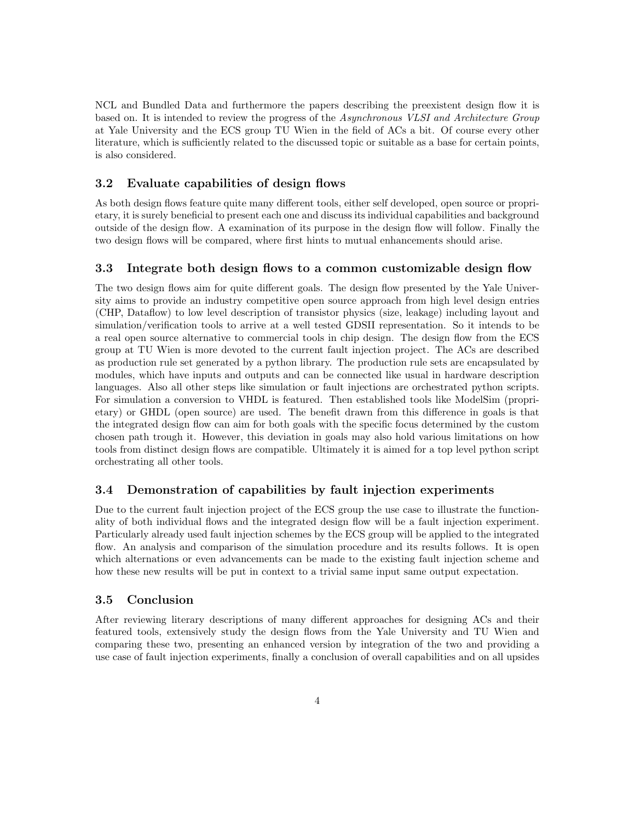NCL and Bundled Data and furthermore the papers describing the preexistent design flow it is based on. It is intended to review the progress of the Asynchronous VLSI and Architecture Group at Yale University and the ECS group TU Wien in the field of ACs a bit. Of course every other literature, which is sufficiently related to the discussed topic or suitable as a base for certain points, is also considered.

#### 3.2 Evaluate capabilities of design flows

As both design flows feature quite many different tools, either self developed, open source or proprietary, it is surely beneficial to present each one and discuss its individual capabilities and background outside of the design flow. A examination of its purpose in the design flow will follow. Finally the two design flows will be compared, where first hints to mutual enhancements should arise.

#### 3.3 Integrate both design flows to a common customizable design flow

The two design flows aim for quite different goals. The design flow presented by the Yale University aims to provide an industry competitive open source approach from high level design entries (CHP, Dataflow) to low level description of transistor physics (size, leakage) including layout and simulation/verification tools to arrive at a well tested GDSII representation. So it intends to be a real open source alternative to commercial tools in chip design. The design flow from the ECS group at TU Wien is more devoted to the current fault injection project. The ACs are described as production rule set generated by a python library. The production rule sets are encapsulated by modules, which have inputs and outputs and can be connected like usual in hardware description languages. Also all other steps like simulation or fault injections are orchestrated python scripts. For simulation a conversion to VHDL is featured. Then established tools like ModelSim (proprietary) or GHDL (open source) are used. The benefit drawn from this difference in goals is that the integrated design flow can aim for both goals with the specific focus determined by the custom chosen path trough it. However, this deviation in goals may also hold various limitations on how tools from distinct design flows are compatible. Ultimately it is aimed for a top level python script orchestrating all other tools.

#### 3.4 Demonstration of capabilities by fault injection experiments

Due to the current fault injection project of the ECS group the use case to illustrate the functionality of both individual flows and the integrated design flow will be a fault injection experiment. Particularly already used fault injection schemes by the ECS group will be applied to the integrated flow. An analysis and comparison of the simulation procedure and its results follows. It is open which alternations or even advancements can be made to the existing fault injection scheme and how these new results will be put in context to a trivial same input same output expectation.

#### 3.5 Conclusion

After reviewing literary descriptions of many different approaches for designing ACs and their featured tools, extensively study the design flows from the Yale University and TU Wien and comparing these two, presenting an enhanced version by integration of the two and providing a use case of fault injection experiments, finally a conclusion of overall capabilities and on all upsides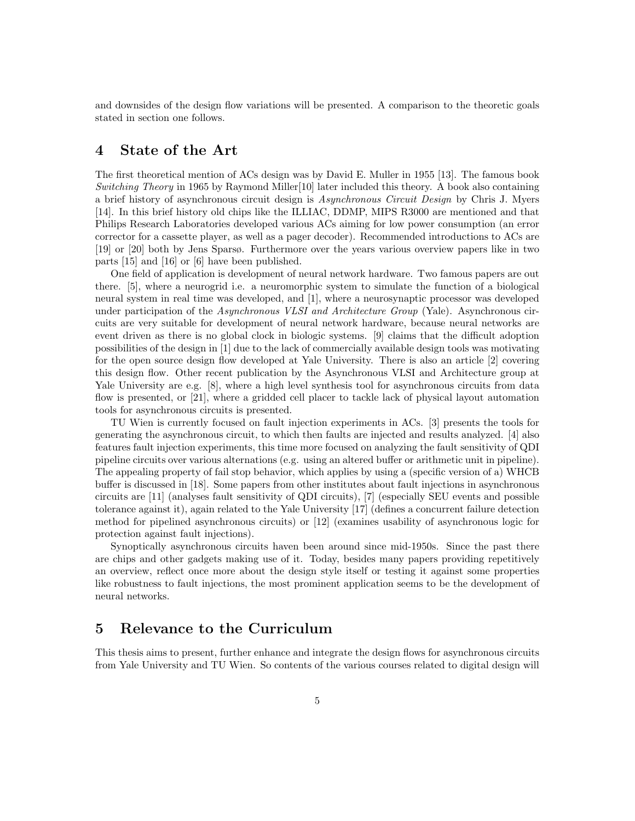and downsides of the design flow variations will be presented. A comparison to the theoretic goals stated in section one follows.

## 4 State of the Art

The first theoretical mention of ACs design was by David E. Muller in 1955 [13]. The famous book Switching Theory in 1965 by Raymond Miller[10] later included this theory. A book also containing a brief history of asynchronous circuit design is Asynchronous Circuit Design by Chris J. Myers [14]. In this brief history old chips like the ILLIAC, DDMP, MIPS R3000 are mentioned and that Philips Research Laboratories developed various ACs aiming for low power consumption (an error corrector for a cassette player, as well as a pager decoder). Recommended introductions to ACs are [19] or [20] both by Jens Sparsø. Furthermore over the years various overview papers like in two parts [15] and [16] or [6] have been published.

One field of application is development of neural network hardware. Two famous papers are out there. [5], where a neurogrid i.e. a neuromorphic system to simulate the function of a biological neural system in real time was developed, and [1], where a neurosynaptic processor was developed under participation of the *Asynchronous VLSI and Architecture Group* (Yale). Asynchronous circuits are very suitable for development of neural network hardware, because neural networks are event driven as there is no global clock in biologic systems. [9] claims that the difficult adoption possibilities of the design in [1] due to the lack of commercially available design tools was motivating for the open source design flow developed at Yale University. There is also an article [2] covering this design flow. Other recent publication by the Asynchronous VLSI and Architecture group at Yale University are e.g. [8], where a high level synthesis tool for asynchronous circuits from data flow is presented, or [21], where a gridded cell placer to tackle lack of physical layout automation tools for asynchronous circuits is presented.

TU Wien is currently focused on fault injection experiments in ACs. [3] presents the tools for generating the asynchronous circuit, to which then faults are injected and results analyzed. [4] also features fault injection experiments, this time more focused on analyzing the fault sensitivity of QDI pipeline circuits over various alternations (e.g. using an altered buffer or arithmetic unit in pipeline). The appealing property of fail stop behavior, which applies by using a (specific version of a) WHCB buffer is discussed in [18]. Some papers from other institutes about fault injections in asynchronous circuits are [11] (analyses fault sensitivity of QDI circuits), [7] (especially SEU events and possible tolerance against it), again related to the Yale University [17] (defines a concurrent failure detection method for pipelined asynchronous circuits) or [12] (examines usability of asynchronous logic for protection against fault injections).

Synoptically asynchronous circuits haven been around since mid-1950s. Since the past there are chips and other gadgets making use of it. Today, besides many papers providing repetitively an overview, reflect once more about the design style itself or testing it against some properties like robustness to fault injections, the most prominent application seems to be the development of neural networks.

## 5 Relevance to the Curriculum

This thesis aims to present, further enhance and integrate the design flows for asynchronous circuits from Yale University and TU Wien. So contents of the various courses related to digital design will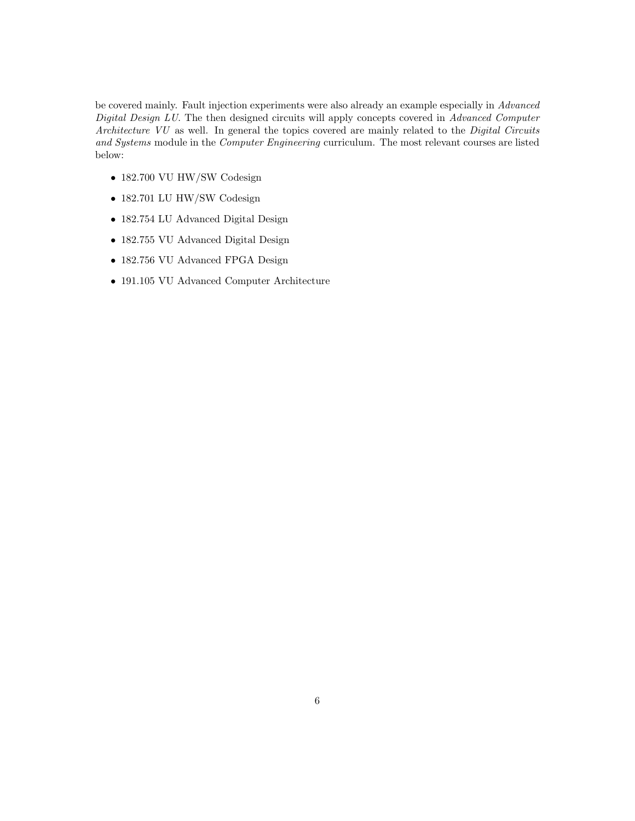be covered mainly. Fault injection experiments were also already an example especially in Advanced Digital Design LU. The then designed circuits will apply concepts covered in Advanced Computer Architecture VU as well. In general the topics covered are mainly related to the Digital Circuits and Systems module in the Computer Engineering curriculum. The most relevant courses are listed below:

- 182.700 VU HW/SW Codesign
- 182.701 LU HW/SW Codesign
- 182.754 LU Advanced Digital Design
- 182.755 VU Advanced Digital Design
- 182.756 VU Advanced FPGA Design
- 191.105 VU Advanced Computer Architecture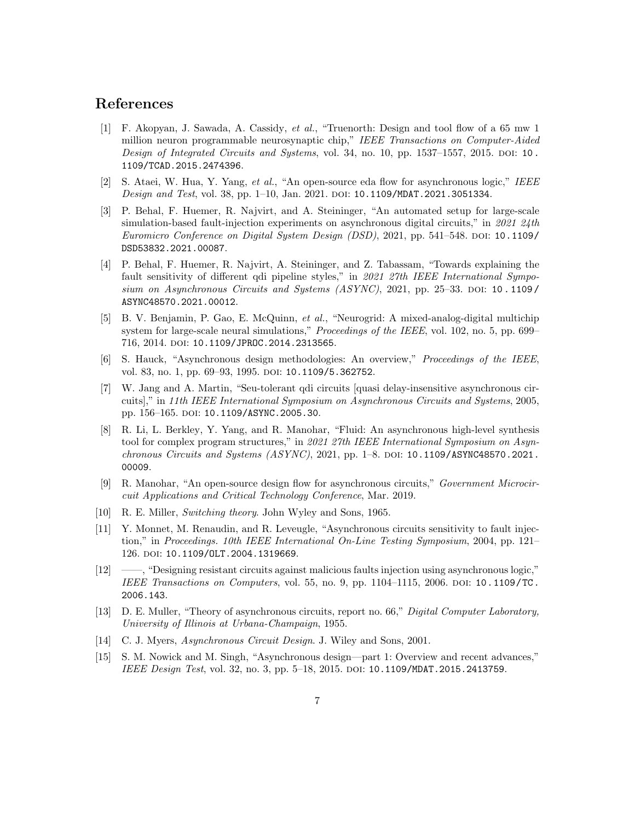## References

- [1] F. Akopyan, J. Sawada, A. Cassidy, et al., "Truenorth: Design and tool flow of a 65 mw 1 million neuron programmable neurosynaptic chip," IEEE Transactions on Computer-Aided Design of Integrated Circuits and Systems, vol. 34, no. 10, pp.  $1537-1557$ , 2015. DOI: 10. 1109/TCAD.2015.2474396.
- [2] S. Ataei, W. Hua, Y. Yang, et al., "An open-source eda flow for asynchronous logic," IEEE Design and Test, vol. 38, pp. 1-10, Jan. 2021. DOI: 10.1109/MDAT.2021.3051334.
- [3] P. Behal, F. Huemer, R. Najvirt, and A. Steininger, "An automated setup for large-scale simulation-based fault-injection experiments on asynchronous digital circuits," in  $2021$   $24$ th Euromicro Conference on Digital System Design (DSD), 2021, pp. 541–548. DOI: 10.1109/ DSD53832.2021.00087.
- [4] P. Behal, F. Huemer, R. Najvirt, A. Steininger, and Z. Tabassam, "Towards explaining the fault sensitivity of different qdi pipeline styles," in 2021 27th IEEE International Symposium on Asynchronous Circuits and Systems (ASYNC), 2021, pp. 25–33. DOI: 10.1109/ ASYNC48570.2021.00012.
- [5] B. V. Benjamin, P. Gao, E. McQuinn, et al., "Neurogrid: A mixed-analog-digital multichip system for large-scale neural simulations," *Proceedings of the IEEE*, vol. 102, no. 5, pp. 699– 716, 2014. DOI: 10.1109/JPROC.2014.2313565.
- [6] S. Hauck, "Asynchronous design methodologies: An overview," Proceedings of the IEEE, vol. 83, no. 1, pp. 69–93, 1995. DOI: 10.1109/5.362752.
- [7] W. Jang and A. Martin, "Seu-tolerant qdi circuits [quasi delay-insensitive asynchronous circuits]," in 11th IEEE International Symposium on Asynchronous Circuits and Systems, 2005, pp. 156–165. doi: 10.1109/ASYNC.2005.30.
- [8] R. Li, L. Berkley, Y. Yang, and R. Manohar, "Fluid: An asynchronous high-level synthesis tool for complex program structures," in 2021 27th IEEE International Symposium on Asynchronous Circuits and Systems (ASYNC), 2021, pp. 1–8. DOI: 10.1109/ASYNC48570.2021. 00009.
- [9] R. Manohar, "An open-source design flow for asynchronous circuits," Government Microcircuit Applications and Critical Technology Conference, Mar. 2019.
- [10] R. E. Miller, Switching theory. John Wyley and Sons, 1965.
- [11] Y. Monnet, M. Renaudin, and R. Leveugle, "Asynchronous circuits sensitivity to fault injection," in Proceedings. 10th IEEE International On-Line Testing Symposium, 2004, pp. 121– 126. doi: 10.1109/OLT.2004.1319669.
- [12] ——, "Designing resistant circuits against malicious faults injection using asynchronous logic," IEEE Transactions on Computers, vol. 55, no. 9, pp.  $1104-1115$ , 2006. DOI: 10.1109/TC. 2006.143.
- [13] D. E. Muller, "Theory of asynchronous circuits, report no. 66," Digital Computer Laboratory, University of Illinois at Urbana-Champaign, 1955.
- [14] C. J. Myers, Asynchronous Circuit Design. J. Wiley and Sons, 2001.
- [15] S. M. Nowick and M. Singh, "Asynchronous design—part 1: Overview and recent advances," IEEE Design Test, vol. 32, no. 3, pp. 5–18, 2015. DOI: 10.1109/MDAT.2015.2413759.